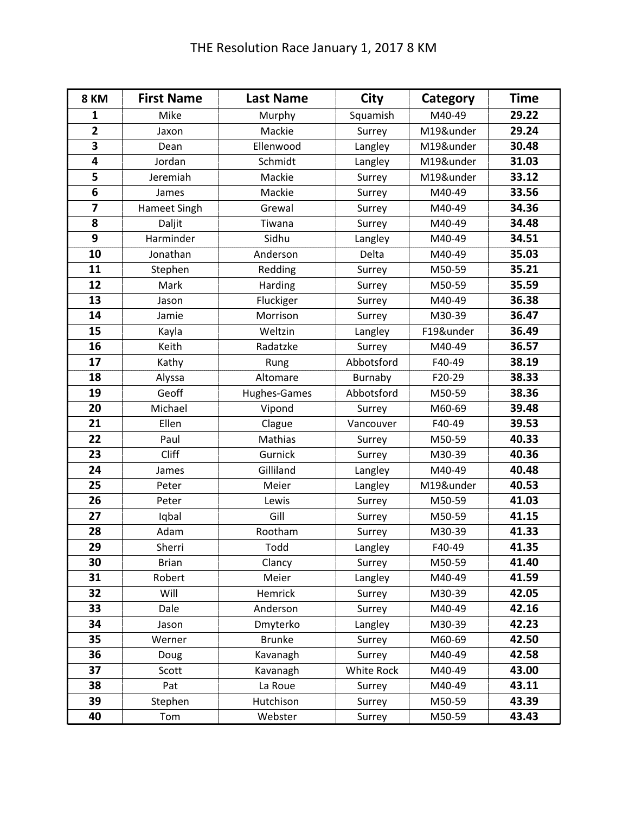| 8 KM                    | <b>First Name</b> | <b>Last Name</b> | City       | Category  | <b>Time</b> |
|-------------------------|-------------------|------------------|------------|-----------|-------------|
| 1                       | Mike              | Murphy           | Squamish   | M40-49    | 29.22       |
| $\overline{2}$          | Jaxon             | Mackie           | Surrey     | M19&under | 29.24       |
| 3                       | Dean              | Ellenwood        | Langley    | M19&under | 30.48       |
| 4                       | Jordan            | Schmidt          | Langley    | M19&under | 31.03       |
| 5                       | Jeremiah          | Mackie           | Surrey     | M19&under | 33.12       |
| $6\phantom{1}$          | James             | Mackie           | Surrey     | M40-49    | 33.56       |
| $\overline{\mathbf{z}}$ | Hameet Singh      | Grewal           | Surrey     | M40-49    | 34.36       |
| 8                       | Daljit            | Tiwana           | Surrey     | M40-49    | 34.48       |
| 9                       | Harminder         | Sidhu            | Langley    | M40-49    | 34.51       |
| 10                      | Jonathan          | Anderson         | Delta      | M40-49    | 35.03       |
| 11                      | Stephen           | Redding          | Surrey     | M50-59    | 35.21       |
| 12                      | Mark              | Harding          | Surrey     | M50-59    | 35.59       |
| 13                      | Jason             | Fluckiger        | Surrey     | M40-49    | 36.38       |
| 14                      | Jamie             | Morrison         | Surrey     | M30-39    | 36.47       |
| 15                      | Kayla             | Weltzin          | Langley    | F19&under | 36.49       |
| 16                      | Keith             | Radatzke         | Surrey     | M40-49    | 36.57       |
| 17                      | Kathy             | Rung             | Abbotsford | F40-49    | 38.19       |
| 18                      | Alyssa            | Altomare         | Burnaby    | F20-29    | 38.33       |
| 19                      | Geoff             | Hughes-Games     | Abbotsford | M50-59    | 38.36       |
| 20                      | Michael           | Vipond           | Surrey     | M60-69    | 39.48       |
| 21                      | Ellen             | Clague           | Vancouver  | F40-49    | 39.53       |
| 22                      | Paul              | Mathias          | Surrey     | M50-59    | 40.33       |
| 23                      | Cliff             | Gurnick          | Surrey     | M30-39    | 40.36       |
| 24                      | James             | Gilliland        | Langley    | M40-49    | 40.48       |
| 25                      | Peter             | Meier            | Langley    | M19&under | 40.53       |
| 26                      | Peter             | Lewis            | Surrey     | M50-59    | 41.03       |
| 27                      | Iqbal             | Gill             | Surrey     | M50-59    | 41.15       |
| 28                      | Adam              | Rootham          | Surrey     | M30-39    | 41.33       |
| 29                      | Sherri            | Todd             | Langley    | F40-49    | 41.35       |
| 30                      | <b>Brian</b>      | Clancy           | Surrey     | M50-59    | 41.40       |
| 31                      | Robert            | Meier            | Langley    | M40-49    | 41.59       |
| 32                      | Will              | Hemrick          | Surrey     | M30-39    | 42.05       |
| 33                      | Dale              | Anderson         | Surrey     | M40-49    | 42.16       |
| 34                      | Jason             | Dmyterko         | Langley    | M30-39    | 42.23       |
| 35                      | Werner            | <b>Brunke</b>    | Surrey     | M60-69    | 42.50       |
| 36                      | Doug              | Kavanagh         | Surrey     | M40-49    | 42.58       |
| 37                      | Scott             | Kavanagh         | White Rock | M40-49    | 43.00       |
| 38                      | Pat               | La Roue          | Surrey     | M40-49    | 43.11       |
| 39                      | Stephen           | Hutchison        | Surrey     | M50-59    | 43.39       |
| 40                      | Tom               | Webster          | Surrey     | M50-59    | 43.43       |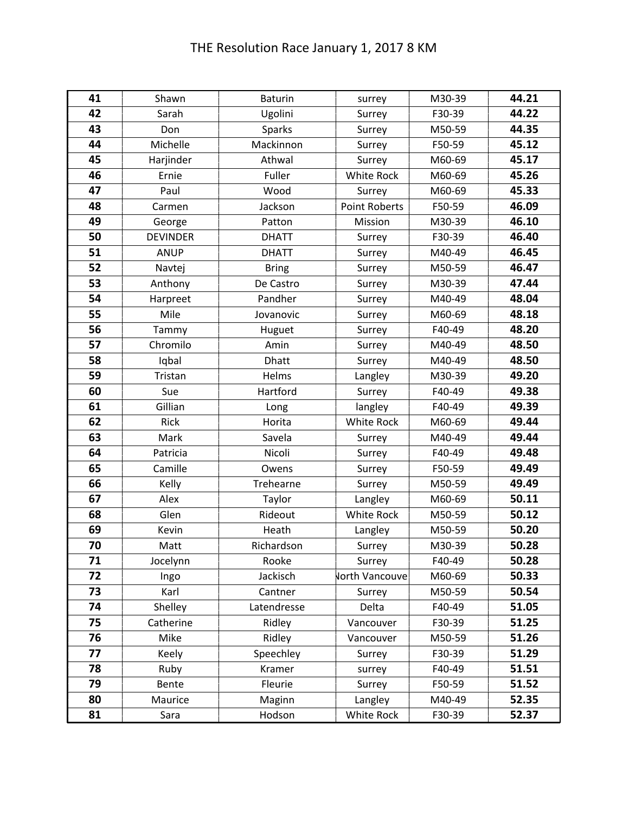| 41 | Shawn           | <b>Baturin</b> | surrey                | M30-39 | 44.21 |
|----|-----------------|----------------|-----------------------|--------|-------|
| 42 | Sarah           | Ugolini        | Surrey                | F30-39 | 44.22 |
| 43 | Don             | <b>Sparks</b>  | Surrey                | M50-59 | 44.35 |
| 44 | Michelle        | Mackinnon      | Surrey                | F50-59 | 45.12 |
| 45 | Harjinder       | Athwal         | Surrey                | M60-69 | 45.17 |
| 46 | Ernie           | Fuller         | <b>White Rock</b>     | M60-69 | 45.26 |
| 47 | Paul            | Wood           | Surrey                | M60-69 | 45.33 |
| 48 | Carmen          | Jackson        | <b>Point Roberts</b>  | F50-59 | 46.09 |
| 49 | George          | Patton         | Mission               | M30-39 | 46.10 |
| 50 | <b>DEVINDER</b> | <b>DHATT</b>   | Surrey                | F30-39 | 46.40 |
| 51 | <b>ANUP</b>     | <b>DHATT</b>   | Surrey                | M40-49 | 46.45 |
| 52 | Navtej          | <b>Bring</b>   | Surrey                | M50-59 | 46.47 |
| 53 | Anthony         | De Castro      | Surrey                | M30-39 | 47.44 |
| 54 | Harpreet        | Pandher        | Surrey                | M40-49 | 48.04 |
| 55 | Mile            | Jovanovic      | Surrey                | M60-69 | 48.18 |
| 56 | Tammy           | Huguet         | Surrey                | F40-49 | 48.20 |
| 57 | Chromilo        | Amin           | Surrey                | M40-49 | 48.50 |
| 58 | Iqbal           | <b>Dhatt</b>   | Surrey                | M40-49 | 48.50 |
| 59 | Tristan         | Helms          | Langley               | M30-39 | 49.20 |
| 60 | Sue             | Hartford       | Surrey                | F40-49 | 49.38 |
| 61 | Gillian         | Long           | langley               | F40-49 | 49.39 |
| 62 | Rick            | Horita         | <b>White Rock</b>     | M60-69 | 49.44 |
| 63 | Mark            | Savela         | Surrey                | M40-49 | 49.44 |
| 64 | Patricia        | Nicoli         | Surrey                | F40-49 | 49.48 |
| 65 | Camille         | Owens          | Surrey                | F50-59 | 49.49 |
| 66 | Kelly           | Trehearne      | Surrey                | M50-59 | 49.49 |
| 67 | Alex            | Taylor         | Langley               | M60-69 | 50.11 |
| 68 | Glen            | Rideout        | White Rock            | M50-59 | 50.12 |
| 69 | Kevin           | Heath          | Langley               | M50-59 | 50.20 |
| 70 | Matt            | Richardson     | Surrey                | M30-39 | 50.28 |
| 71 | Jocelynn        | Rooke          | Surrey                | F40-49 | 50.28 |
| 72 | Ingo            | Jackisch       | <b>North Vancouve</b> | M60-69 | 50.33 |
| 73 | Karl            | Cantner        | Surrey                | M50-59 | 50.54 |
| 74 | Shelley         | Latendresse    | Delta                 | F40-49 | 51.05 |
| 75 | Catherine       | Ridley         | Vancouver             | F30-39 | 51.25 |
| 76 | Mike            | Ridley         | Vancouver             | M50-59 | 51.26 |
| 77 | Keely           | Speechley      | Surrey                | F30-39 | 51.29 |
| 78 | Ruby            | Kramer         | surrey                | F40-49 | 51.51 |
| 79 | Bente           | Fleurie        | Surrey                | F50-59 | 51.52 |
| 80 | Maurice         | Maginn         | Langley               | M40-49 | 52.35 |
| 81 | Sara            | Hodson         | White Rock            | F30-39 | 52.37 |